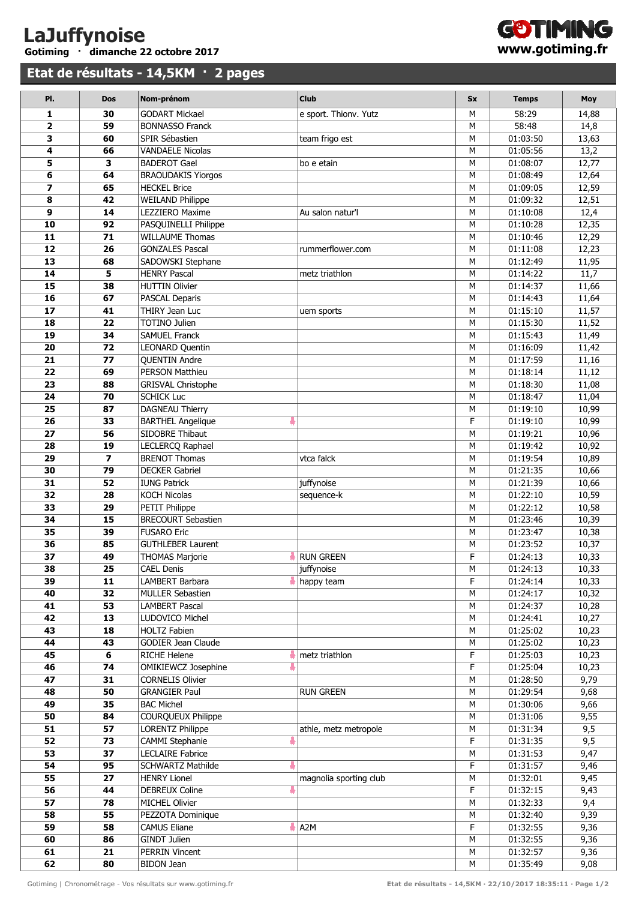## **LaJuffynoise Gotiming · dimanche 22 octobre 2017**

**Etat de résultats - 14,5KM · 2 pages**



| PI.                      | <b>Dos</b>              | Nom-prénom                                      | <b>Club</b>            | <b>Sx</b> | <b>Temps</b>         | Moy            |
|--------------------------|-------------------------|-------------------------------------------------|------------------------|-----------|----------------------|----------------|
| 1                        | 30                      | <b>GODART Mickael</b>                           | e sport. Thionv. Yutz  | М         | 58:29                | 14,88          |
| $\overline{\mathbf{2}}$  | 59                      | <b>BONNASSO Franck</b>                          |                        | M         | 58:48                | 14,8           |
| 3                        | 60                      | SPIR Sébastien                                  | team frigo est         | M         | 01:03:50             | 13,63          |
| 4                        | 66                      | <b>VANDAELE Nicolas</b>                         |                        | M         | 01:05:56             | 13,2           |
| 5                        | 3                       | <b>BADEROT Gael</b>                             | bo e etain             | M         | 01:08:07             | 12,77          |
| 6                        | 64                      | <b>BRAOUDAKIS Yiorgos</b>                       |                        | M         | 01:08:49             | 12,64          |
| $\overline{\phantom{a}}$ | 65                      | <b>HECKEL Brice</b>                             |                        | M         | 01:09:05             | 12,59          |
| 8                        | 42                      | <b>WEILAND Philippe</b>                         |                        | M         | 01:09:32             | 12,51          |
| 9                        | 14                      | <b>LEZZIERO Maxime</b>                          | Au salon natur'l       | M         | 01:10:08             | 12,4           |
| 10                       | 92                      | PASQUINELLI Philippe                            |                        | M         | 01:10:28             | 12,35          |
| 11                       | 71                      | <b>WILLAUME Thomas</b>                          |                        | M         | 01:10:46             | 12,29          |
| $\overline{12}$          | 26                      | <b>GONZALES Pascal</b>                          | rummerflower.com       | M         | 01:11:08             | 12,23          |
| 13                       | 68                      | SADOWSKI Stephane                               |                        | M         | 01:12:49             | 11,95          |
| 14                       | 5                       | <b>HENRY Pascal</b>                             | metz triathlon         | M         | 01:14:22             | 11,7           |
| 15                       | 38                      | <b>HUTTIN Olivier</b>                           |                        | M         | 01:14:37             | 11,66          |
| 16                       | 67                      | <b>PASCAL Deparis</b>                           |                        | M         | 01:14:43             | 11,64          |
| 17                       | 41                      | THIRY Jean Luc                                  | uem sports             | M         | 01:15:10             | 11,57          |
| 18                       | 22                      | <b>TOTINO Julien</b>                            |                        | M         | 01:15:30             | 11,52          |
| 19                       | 34                      | <b>SAMUEL Franck</b>                            |                        | M         | 01:15:43             | 11,49          |
| 20                       | 72                      | LEONARD Quentin                                 |                        | M         | 01:16:09             | 11,42          |
| 21                       | 77                      | <b>QUENTIN Andre</b>                            |                        | M         | 01:17:59             | 11,16          |
| 22                       | 69                      | PERSON Matthieu                                 |                        | М         | 01:18:14             | 11,12          |
| 23                       | 88                      | <b>GRISVAL Christophe</b>                       |                        | M         | 01:18:30             | 11,08          |
| 24                       | 70                      | <b>SCHICK Luc</b>                               |                        | M         | 01:18:47             | 11,04          |
| 25                       | 87                      | DAGNEAU Thierry                                 |                        | M         | 01:19:10             | 10,99          |
| 26                       | 33                      | 4<br><b>BARTHEL Angelique</b>                   |                        | F         | 01:19:10             | 10,99          |
| 27<br>28                 | 56<br>19                | SIDOBRE Thibaut<br>LECLERCQ Raphael             |                        | M<br>M    | 01:19:21             | 10,96          |
| 29                       | $\overline{\mathbf{z}}$ | <b>BRENOT Thomas</b>                            | vtca falck             | M         | 01:19:42<br>01:19:54 | 10,92<br>10,89 |
| 30                       | 79                      | <b>DECKER Gabriel</b>                           |                        | M         | 01:21:35             | 10,66          |
| 31                       | 52                      | <b>IUNG Patrick</b>                             | juffynoise             | M         | 01:21:39             | 10,66          |
| 32                       | 28                      | <b>KOCH Nicolas</b>                             | sequence-k             | M         | 01:22:10             | 10,59          |
| 33                       | 29                      | PETIT Philippe                                  |                        | M         | 01:22:12             | 10,58          |
| 34                       | 15                      | <b>BRECOURT Sebastien</b>                       |                        | М         | 01:23:46             | 10,39          |
| 35                       | 39                      | <b>FUSARO Eric</b>                              |                        | M         | 01:23:47             | 10,38          |
| 36                       | 85                      | <b>GUTHLEBER Laurent</b>                        |                        | M         | 01:23:52             | 10,37          |
| 37                       | 49                      | <b>THOMAS Marjorie</b>                          | <b>RUN GREEN</b>       | F         | 01:24:13             | 10,33          |
| 38                       | 25                      | <b>CAEL Denis</b>                               | juffynoise             | М         | 01:24:13             | 10,33          |
| 39                       | 11                      | LAMBERT Barbara                                 | $\parallel$ happy team | F         | 01:24:14             | 10,33          |
| 40                       | 32                      | <b>MULLER Sebastien</b>                         |                        | М         | 01:24:17             | 10,32          |
| 41                       | 53                      | <b>LAMBERT Pascal</b>                           |                        | М         | 01:24:37             | 10,28          |
| 42                       | 13                      | LUDOVICO Michel                                 |                        | M         | 01:24:41             | 10,27          |
| 43                       | 18                      | <b>HOLTZ Fabien</b>                             |                        | М         | 01:25:02             | 10,23          |
| 44                       | 43                      | <b>GODIER Jean Claude</b>                       |                        | М         | 01:25:02             | 10,23          |
| 45                       | 6                       | <b>RICHE Helene</b>                             | metz triathlon         | F         | 01:25:03             | 10,23          |
| 46                       | 74                      | <b>OMIKIEWCZ Josephine</b><br>ē                 |                        | F         | 01:25:04             | 10,23          |
| 47                       | 31                      | <b>CORNELIS Olivier</b><br><b>GRANGIER Paul</b> |                        | М         | 01:28:50             | 9,79           |
| 48<br>49                 | 50<br>35                | <b>BAC Michel</b>                               | <b>RUN GREEN</b>       | М<br>М    | 01:29:54<br>01:30:06 | 9,68<br>9,66   |
| 50                       | 84                      | COURQUEUX Philippe                              |                        | М         | 01:31:06             | 9,55           |
| 51                       | 57                      | <b>LORENTZ Philippe</b>                         | athle, metz metropole  | M         | 01:31:34             | 9,5            |
| 52                       | 73                      | ł<br>CAMMI Stephanie                            |                        | F         | 01:31:35             | 9,5            |
| 53                       | 37                      | <b>LECLAIRE Fabrice</b>                         |                        | М         | 01:31:53             | 9,47           |
| 54                       | 95                      | ÷<br><b>SCHWARTZ Mathilde</b>                   |                        | F         | 01:31:57             | 9,46           |
| 55                       | 27                      | <b>HENRY Lionel</b>                             | magnolia sporting club | M         | 01:32:01             | 9,45           |
| 56                       | 44                      | å<br><b>DEBREUX Coline</b>                      |                        | F         | 01:32:15             | 9,43           |
| 57                       | 78                      | <b>MICHEL Olivier</b>                           |                        | М         | 01:32:33             | 9,4            |
| 58                       | 55                      | PEZZOTA Dominique                               |                        | М         | 01:32:40             | 9,39           |
| 59                       | 58                      | <b>CAMUS Eliane</b>                             | $\frac{1}{2}$ A2M      | F         | 01:32:55             | 9,36           |
| 60                       | 86                      | <b>GINDT Julien</b>                             |                        | М         | 01:32:55             | 9,36           |
| 61                       | 21                      | <b>PERRIN Vincent</b>                           |                        | М         | 01:32:57             | 9,36           |
| 62                       | 80                      | <b>BIDON Jean</b>                               |                        | M         | 01:35:49             | 9,08           |